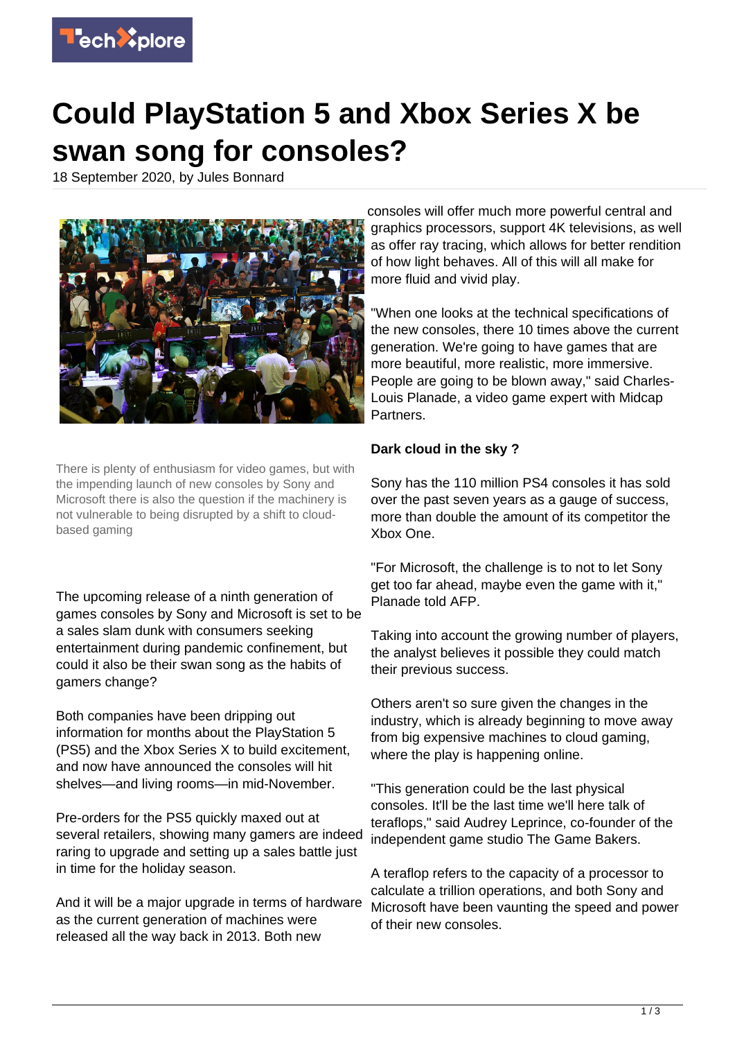

## **Could PlayStation 5 and Xbox Series X be swan song for consoles?**

18 September 2020, by Jules Bonnard



There is plenty of enthusiasm for video games, but with the impending launch of new consoles by Sony and Microsoft there is also the question if the machinery is not vulnerable to being disrupted by a shift to cloudbased gaming

The upcoming release of a ninth generation of games consoles by Sony and Microsoft is set to be a sales slam dunk with consumers seeking entertainment during pandemic confinement, but could it also be their swan song as the habits of gamers change?

Both companies have been dripping out information for months about the PlayStation 5 (PS5) and the Xbox Series X to build excitement, and now have announced the consoles will hit shelves—and living rooms—in mid-November.

Pre-orders for the PS5 quickly maxed out at several retailers, showing many gamers are indeed raring to upgrade and setting up a sales battle just in time for the holiday season.

And it will be a major upgrade in terms of hardware as the current generation of machines were released all the way back in 2013. Both new

consoles will offer much more powerful central and graphics processors, support 4K televisions, as well as offer ray tracing, which allows for better rendition of how light behaves. All of this will all make for more fluid and vivid play.

"When one looks at the technical specifications of the new consoles, there 10 times above the current generation. We're going to have games that are more beautiful, more realistic, more immersive. People are going to be blown away," said Charles-Louis Planade, a video game expert with Midcap Partners.

## **Dark cloud in the sky ?**

Sony has the 110 million PS4 consoles it has sold over the past seven years as a gauge of success, more than double the amount of its competitor the Xbox One.

"For Microsoft, the challenge is to not to let Sony get too far ahead, maybe even the game with it," Planade told AFP.

Taking into account the growing number of players, the analyst believes it possible they could match their previous success.

Others aren't so sure given the changes in the industry, which is already beginning to move away from big expensive machines to cloud gaming, where the play is happening online.

"This generation could be the last physical consoles. It'll be the last time we'll here talk of teraflops," said Audrey Leprince, co-founder of the independent game studio The Game Bakers.

A teraflop refers to the capacity of a processor to calculate a trillion operations, and both Sony and Microsoft have been vaunting the speed and power of their new consoles.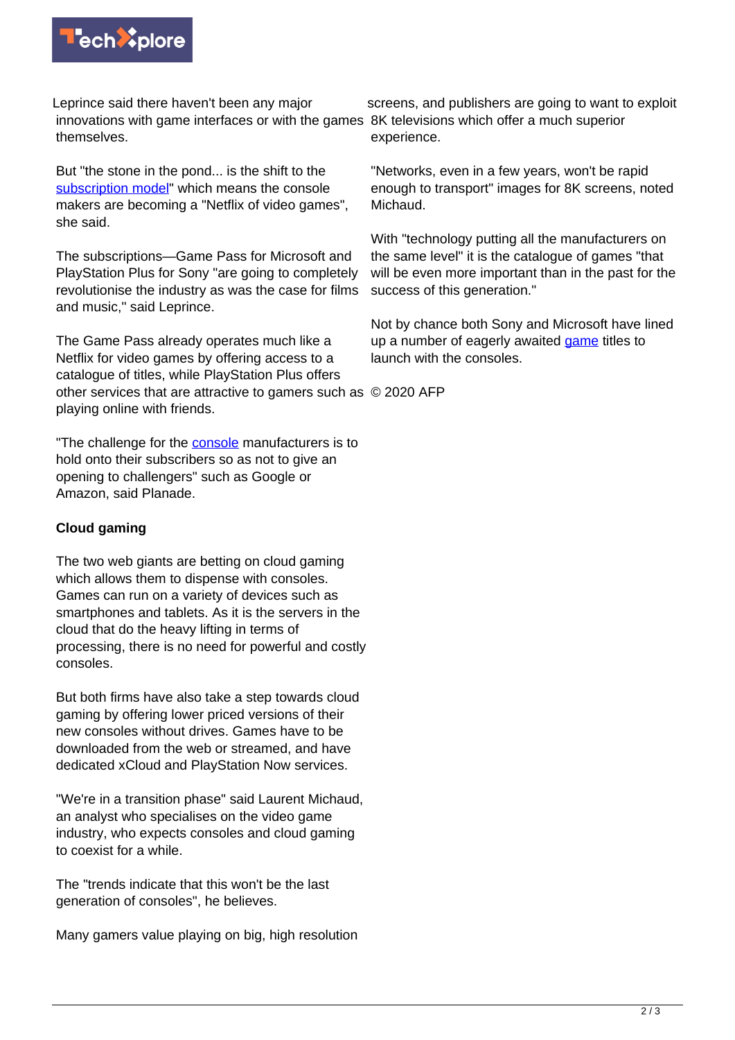

Leprince said there haven't been any major innovations with game interfaces or with the games 8K televisions which offer a much superior themselves.

But "the stone in the pond... is the shift to the [subscription model](https://techxplore.com/tags/subscription+model/)" which means the console makers are becoming a "Netflix of video games", she said.

The subscriptions—Game Pass for Microsoft and PlayStation Plus for Sony "are going to completely revolutionise the industry as was the case for films and music," said Leprince.

The Game Pass already operates much like a Netflix for video games by offering access to a catalogue of titles, while PlayStation Plus offers other services that are attractive to gamers such as © 2020 AFP playing online with friends.

"The challenge for the [console](https://techxplore.com/tags/console/) manufacturers is to hold onto their subscribers so as not to give an opening to challengers" such as Google or Amazon, said Planade.

## **Cloud gaming**

The two web giants are betting on cloud gaming which allows them to dispense with consoles. Games can run on a variety of devices such as smartphones and tablets. As it is the servers in the cloud that do the heavy lifting in terms of processing, there is no need for powerful and costly consoles.

But both firms have also take a step towards cloud gaming by offering lower priced versions of their new consoles without drives. Games have to be downloaded from the web or streamed, and have dedicated xCloud and PlayStation Now services.

"We're in a transition phase" said Laurent Michaud, an analyst who specialises on the video game industry, who expects consoles and cloud gaming to coexist for a while.

The "trends indicate that this won't be the last generation of consoles", he believes.

Many gamers value playing on big, high resolution

screens, and publishers are going to want to exploit experience.

"Networks, even in a few years, won't be rapid enough to transport" images for 8K screens, noted Michaud.

With "technology putting all the manufacturers on the same level" it is the catalogue of games "that will be even more important than in the past for the success of this generation."

Not by chance both Sony and Microsoft have lined up a number of eagerly awaited [game](https://techxplore.com/tags/game/) titles to launch with the consoles.